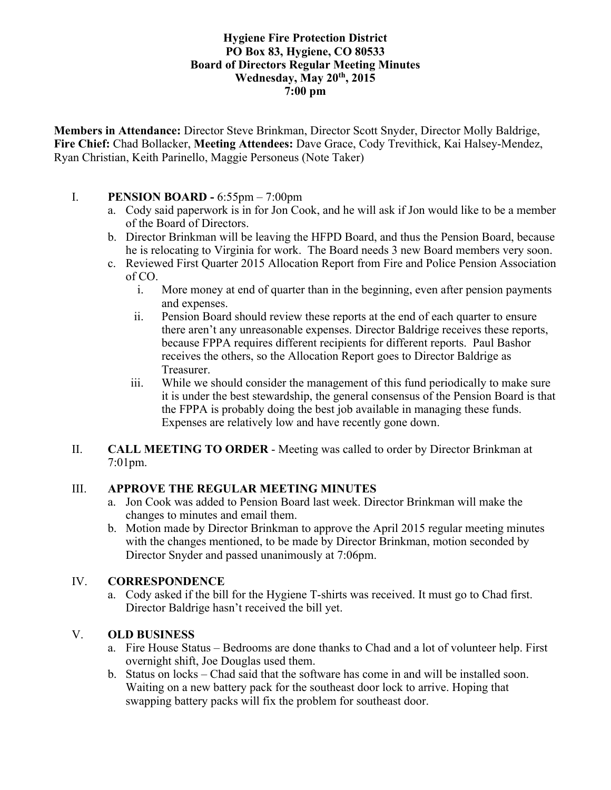#### **Hygiene Fire Protection District PO Box 83, Hygiene, CO 80533 Board of Directors Regular Meeting Minutes Wednesday, May 20th, 2015 7:00 pm**

**Members in Attendance:** Director Steve Brinkman, Director Scott Snyder, Director Molly Baldrige, **Fire Chief:** Chad Bollacker, **Meeting Attendees:** Dave Grace, Cody Trevithick, Kai Halsey-Mendez, Ryan Christian, Keith Parinello, Maggie Personeus (Note Taker)

#### I. **PENSION BOARD -** 6:55pm – 7:00pm

- a. Cody said paperwork is in for Jon Cook, and he will ask if Jon would like to be a member of the Board of Directors.
- b. Director Brinkman will be leaving the HFPD Board, and thus the Pension Board, because he is relocating to Virginia for work. The Board needs 3 new Board members very soon.
- c. Reviewed First Quarter 2015 Allocation Report from Fire and Police Pension Association of CO.
	- i. More money at end of quarter than in the beginning, even after pension payments and expenses.
	- ii. Pension Board should review these reports at the end of each quarter to ensure there aren't any unreasonable expenses. Director Baldrige receives these reports, because FPPA requires different recipients for different reports. Paul Bashor receives the others, so the Allocation Report goes to Director Baldrige as Treasurer.
	- iii. While we should consider the management of this fund periodically to make sure it is under the best stewardship, the general consensus of the Pension Board is that the FPPA is probably doing the best job available in managing these funds. Expenses are relatively low and have recently gone down.

#### II. **CALL MEETING TO ORDER** - Meeting was called to order by Director Brinkman at 7:01pm.

# III. **APPROVE THE REGULAR MEETING MINUTES**

- a. Jon Cook was added to Pension Board last week. Director Brinkman will make the changes to minutes and email them.
- b. Motion made by Director Brinkman to approve the April 2015 regular meeting minutes with the changes mentioned, to be made by Director Brinkman, motion seconded by Director Snyder and passed unanimously at 7:06pm.

# IV. **CORRESPONDENCE**

a. Cody asked if the bill for the Hygiene T-shirts was received. It must go to Chad first. Director Baldrige hasn't received the bill yet.

# V. **OLD BUSINESS**

- a. Fire House Status Bedrooms are done thanks to Chad and a lot of volunteer help. First overnight shift, Joe Douglas used them.
- b. Status on locks Chad said that the software has come in and will be installed soon. Waiting on a new battery pack for the southeast door lock to arrive. Hoping that swapping battery packs will fix the problem for southeast door.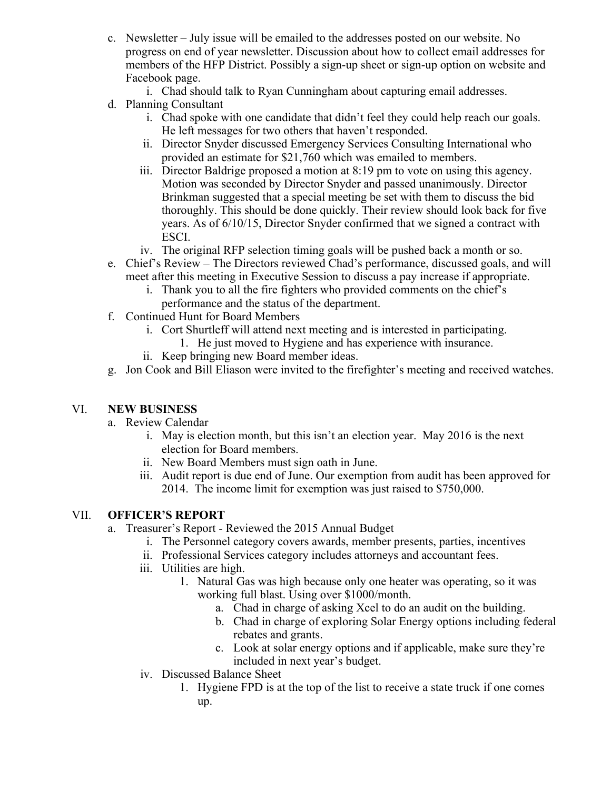- c. Newsletter July issue will be emailed to the addresses posted on our website. No progress on end of year newsletter. Discussion about how to collect email addresses for members of the HFP District. Possibly a sign-up sheet or sign-up option on website and Facebook page.
	- i. Chad should talk to Ryan Cunningham about capturing email addresses.
- d. Planning Consultant
	- i. Chad spoke with one candidate that didn't feel they could help reach our goals. He left messages for two others that haven't responded.
	- ii. Director Snyder discussed Emergency Services Consulting International who provided an estimate for \$21,760 which was emailed to members.
	- iii. Director Baldrige proposed a motion at 8:19 pm to vote on using this agency. Motion was seconded by Director Snyder and passed unanimously. Director Brinkman suggested that a special meeting be set with them to discuss the bid thoroughly. This should be done quickly. Their review should look back for five years. As of 6/10/15, Director Snyder confirmed that we signed a contract with ESCI.
	- iv. The original RFP selection timing goals will be pushed back a month or so.
- e. Chief's Review The Directors reviewed Chad's performance, discussed goals, and will meet after this meeting in Executive Session to discuss a pay increase if appropriate.
	- i. Thank you to all the fire fighters who provided comments on the chief's performance and the status of the department.
- f. Continued Hunt for Board Members
	- i. Cort Shurtleff will attend next meeting and is interested in participating.
		- 1. He just moved to Hygiene and has experience with insurance.
	- ii. Keep bringing new Board member ideas.
- g. Jon Cook and Bill Eliason were invited to the firefighter's meeting and received watches.

# VI. **NEW BUSINESS**

- a. Review Calendar
	- i. May is election month, but this isn't an election year. May 2016 is the next election for Board members.
	- ii. New Board Members must sign oath in June.
	- iii. Audit report is due end of June. Our exemption from audit has been approved for 2014. The income limit for exemption was just raised to \$750,000.

# VII. **OFFICER'S REPORT**

- a. Treasurer's Report Reviewed the 2015 Annual Budget
	- i. The Personnel category covers awards, member presents, parties, incentives
	- ii. Professional Services category includes attorneys and accountant fees.
	- iii. Utilities are high.
		- 1. Natural Gas was high because only one heater was operating, so it was working full blast. Using over \$1000/month.
			- a. Chad in charge of asking Xcel to do an audit on the building.
			- b. Chad in charge of exploring Solar Energy options including federal rebates and grants.
			- c. Look at solar energy options and if applicable, make sure they're included in next year's budget.
	- iv. Discussed Balance Sheet
		- 1. Hygiene FPD is at the top of the list to receive a state truck if one comes up.